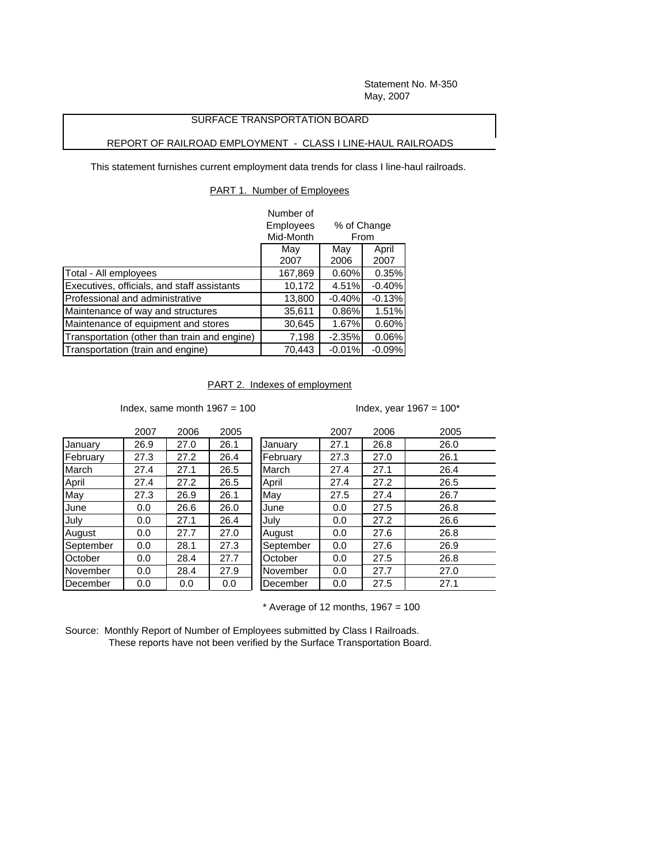Statement No. M-350 May, 2007

## SURFACE TRANSPORTATION BOARD

## REPORT OF RAILROAD EMPLOYMENT - CLASS I LINE-HAUL RAILROADS

This statement furnishes current employment data trends for class I line-haul railroads.

## PART 1. Number of Employees

|                                              | Number of        |                     |          |  |
|----------------------------------------------|------------------|---------------------|----------|--|
|                                              | <b>Employees</b> | % of Change<br>From |          |  |
|                                              | Mid-Month        |                     |          |  |
|                                              | May              | May                 | April    |  |
|                                              | 2007             | 2006                | 2007     |  |
| Total - All employees                        | 167,869          | 0.60%               | 0.35%    |  |
| Executives, officials, and staff assistants  | 10,172           | 4.51%               | $-0.40%$ |  |
| Professional and administrative              | 13,800           | $-0.40%$            | $-0.13%$ |  |
| Maintenance of way and structures            | 35,611           | 0.86%               | 1.51%    |  |
| Maintenance of equipment and stores          | 30,645           | 1.67%               | 0.60%    |  |
| Transportation (other than train and engine) | 7,198            | $-2.35%$            | 0.06%    |  |
| Transportation (train and engine)            | 70.443           | $-0.01%$            | $-0.09%$ |  |

PART 2. Indexes of employment

Index, same month  $1967 = 100$  Index, year  $1967 = 100^*$ 

|           | 2007 | 2006 | 2005 |           | 2007 | 2006 | 2005 |
|-----------|------|------|------|-----------|------|------|------|
| January   | 26.9 | 27.0 | 26.1 | January   | 27.1 | 26.8 | 26.0 |
| February  | 27.3 | 27.2 | 26.4 | February  | 27.3 | 27.0 | 26.1 |
| March     | 27.4 | 27.1 | 26.5 | March     | 27.4 | 27.1 | 26.4 |
| April     | 27.4 | 27.2 | 26.5 | April     | 27.4 | 27.2 | 26.5 |
| May       | 27.3 | 26.9 | 26.1 | May       | 27.5 | 27.4 | 26.7 |
| June      | 0.0  | 26.6 | 26.0 | June      | 0.0  | 27.5 | 26.8 |
| July      | 0.0  | 27.1 | 26.4 | July      | 0.0  | 27.2 | 26.6 |
| August    | 0.0  | 27.7 | 27.0 | August    | 0.0  | 27.6 | 26.8 |
| September | 0.0  | 28.1 | 27.3 | September | 0.0  | 27.6 | 26.9 |
| October   | 0.0  | 28.4 | 27.7 | October   | 0.0  | 27.5 | 26.8 |
| November  | 0.0  | 28.4 | 27.9 | November  | 0.0  | 27.7 | 27.0 |
| December  | 0.0  | 0.0  | 0.0  | December  | 0.0  | 27.5 | 27.1 |

 $*$  Average of 12 months, 1967 = 100

Source: Monthly Report of Number of Employees submitted by Class I Railroads. These reports have not been verified by the Surface Transportation Board.